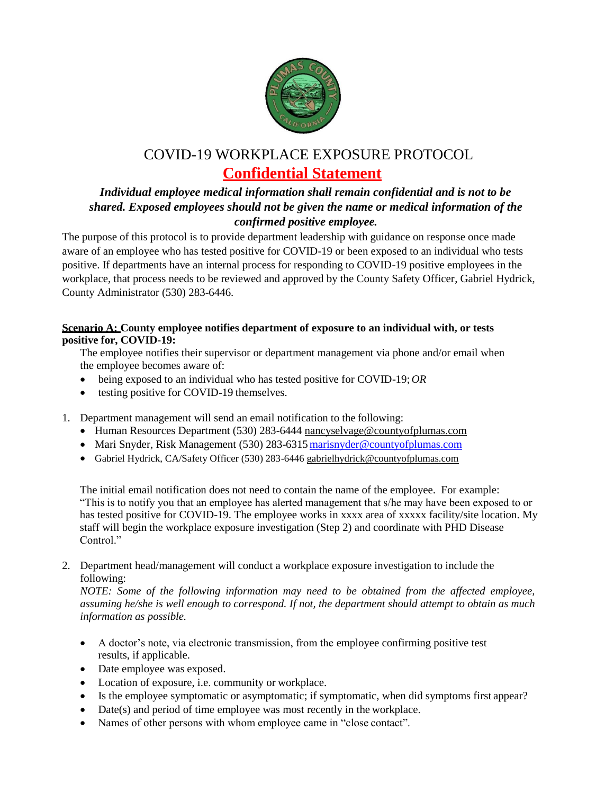

## COVID-19 WORKPLACE EXPOSURE PROTOCOL **Confidential Statement**

## *Individual employee medical information shall remain confidential and is not to be shared. Exposed employees should not be given the name or medical information of the confirmed positive employee.*

The purpose of this protocol is to provide department leadership with guidance on response once made aware of an employee who has tested positive for COVID-19 or been exposed to an individual who tests positive. If departments have an internal process for responding to COVID-19 positive employees in the workplace, that process needs to be reviewed and approved by the County Safety Officer, Gabriel Hydrick, County Administrator (530) 283-6446.

## **Scenario A: County employee notifies department of exposure to an individual with, or tests positive for, COVID-19:**

The employee notifies their supervisor or department management via phone and/or email when the employee becomes aware of:

- being exposed to an individual who has tested positive for COVID-19; *OR*
- testing positive for COVID-19 themselves.
- 1. Department management will send an email notification to the following:
	- Human Resources Department (530) 283-6444 nancyselvage@countyofplumas.com
	- Mari Snyder, Risk Management (530) 283-6315 marisnyder@countyofplumas.com
	- Gabriel Hydrick, CA/Safety Officer (530) 283-6446 gabrielhydrick@countyofplumas.com

The initial email notification does not need to contain the name of the employee. For example: "This is to notify you that an employee has alerted management that s/he may have been exposed to or has tested positive for COVID-19. The employee works in xxxx area of xxxxx facility/site location. My staff will begin the workplace exposure investigation (Step 2) and coordinate with PHD Disease Control."

2. Department head/management will conduct a workplace exposure investigation to include the following:

*NOTE: Some of the following information may need to be obtained from the affected employee, assuming he/she is well enough to correspond. If not, the department should attempt to obtain as much information as possible.*

- A doctor's note, via electronic transmission, from the employee confirming positive test results, if applicable.
- Date employee was exposed.
- Location of exposure, i.e. community or workplace.
- Is the employee symptomatic or asymptomatic; if symptomatic, when did symptoms first appear?
- Date(s) and period of time employee was most recently in the workplace.
- Names of other persons with whom employee came in "close contact".